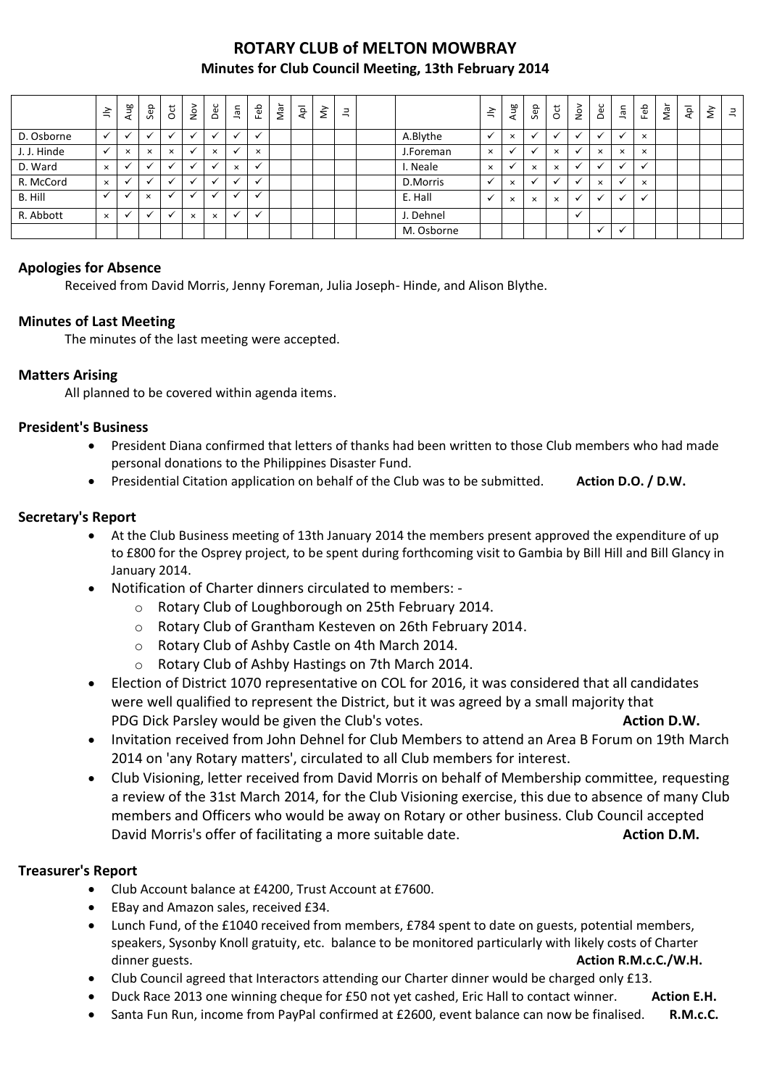# **ROTARY CLUB of MELTON MOWBRAY Minutes for Club Council Meeting, 13th February 2014**

|             | $\leq$       | Aug          | Sep                      | ğ                    | $\sum_{i=1}^{\infty}$ | Dec                      | Jan          | Feb                      | Nar | $\overline{\mathsf{A}}\mathsf{p}$ | $\grave{\varepsilon}$ | $\exists$ |            | 言        | Aug                  | Sep      | <b>b</b> | $\stackrel{\textsf{o}}{\simeq}$ | Dec            | ۹Ē          | Feb      | Nar | $\bar{A}$ | š | $\exists$ |
|-------------|--------------|--------------|--------------------------|----------------------|-----------------------|--------------------------|--------------|--------------------------|-----|-----------------------------------|-----------------------|-----------|------------|----------|----------------------|----------|----------|---------------------------------|----------------|-------------|----------|-----|-----------|---|-----------|
| D. Osborne  |              |              | $\overline{\phantom{a}}$ | $\ddot{\phantom{0}}$ |                       | $\cdot$                  | $\checkmark$ | $\mathbf{v}$             |     |                                   |                       |           | A.Blythe   |          | $\times$             |          |          |                                 | $\overline{ }$ | $\check{ }$ | $\times$ |     |           |   |           |
| J. J. Hinde | $\checkmark$ | $\times$     | $\times$                 | $\times$             |                       | $\times$                 | ✓            | $\times$                 |     |                                   |                       |           | J.Foreman  | $\times$ | $\ddot{\phantom{0}}$ |          | $\times$ |                                 | $\times$       | $\times$    | $\times$ |     |           |   |           |
| D. Ward     | $\times$     | $\checkmark$ | $\cdot$                  | $\checkmark$         |                       | $\overline{\phantom{a}}$ | $\times$     | $\checkmark$             |     |                                   |                       |           | . Neale    | $\times$ | $\ddot{\phantom{0}}$ | $\times$ | $\times$ |                                 | $\overline{u}$ | √           |          |     |           |   |           |
| R. McCord   | $\times$     |              |                          | $\checkmark$         |                       | $\overline{\phantom{a}}$ | $\cdot$      | $\ddot{\phantom{0}}$     |     |                                   |                       |           | D.Morris   |          | $\times$             |          |          |                                 | $\times$       | $\check{ }$ | $\times$ |     |           |   |           |
| B. Hill     | $\cdot$      |              | $\times$                 | $\check{ }$          |                       | $\bullet$ .              |              | $\overline{\phantom{a}}$ |     |                                   |                       |           | E. Hall    |          | $\times$             | $\times$ | $\times$ |                                 | $\checkmark$   | √           |          |     |           |   |           |
| R. Abbott   | $\times$     |              |                          | $\ddot{\phantom{0}}$ | $\times$              | $\times$                 |              | $\checkmark$             |     |                                   |                       |           | J. Dehnel  |          |                      |          |          |                                 |                |             |          |     |           |   |           |
|             |              |              |                          |                      |                       |                          |              |                          |     |                                   |                       |           | M. Osborne |          |                      |          |          |                                 | $\checkmark$   |             |          |     |           |   |           |

# **Apologies for Absence**

Received from David Morris, Jenny Foreman, Julia Joseph- Hinde, and Alison Blythe.

# **Minutes of Last Meeting**

The minutes of the last meeting were accepted.

# **Matters Arising**

All planned to be covered within agenda items.

# **President's Business**

- President Diana confirmed that letters of thanks had been written to those Club members who had made personal donations to the Philippines Disaster Fund.
- **•** Presidential Citation application on behalf of the Club was to be submitted. **Action D.O. / D.W.**

# **Secretary's Report**

- At the Club Business meeting of 13th January 2014 the members present approved the expenditure of up to £800 for the Osprey project, to be spent during forthcoming visit to Gambia by Bill Hill and Bill Glancy in January 2014.
- Notification of Charter dinners circulated to members:
	- o Rotary Club of Loughborough on 25th February 2014.
	- o Rotary Club of Grantham Kesteven on 26th February 2014.
	- o Rotary Club of Ashby Castle on 4th March 2014.
	- o Rotary Club of Ashby Hastings on 7th March 2014.
- Election of District 1070 representative on COL for 2016, it was considered that all candidates were well qualified to represent the District, but it was agreed by a small majority that PDG Dick Parsley would be given the Club's votes. **Action D.W. Action D.W. Action D.W.**
- Invitation received from John Dehnel for Club Members to attend an Area B Forum on 19th March 2014 on 'any Rotary matters', circulated to all Club members for interest.
- Club Visioning, letter received from David Morris on behalf of Membership committee, requesting a review of the 31st March 2014, for the Club Visioning exercise, this due to absence of many Club members and Officers who would be away on Rotary or other business. Club Council accepted David Morris's offer of facilitating a more suitable date. **Action D.M. Action D.M.**

# **Treasurer's Report**

- Club Account balance at £4200, Trust Account at £7600.
- EBay and Amazon sales, received £34.
- Lunch Fund, of the £1040 received from members, £784 spent to date on guests, potential members, speakers, Sysonby Knoll gratuity, etc. balance to be monitored particularly with likely costs of Charter dinner guests. **Action R.M.c.C./W.H.**
- Club Council agreed that Interactors attending our Charter dinner would be charged only £13.
- Duck Race 2013 one winning cheque for £50 not yet cashed, Eric Hall to contact winner. **Action E.H.**
- Santa Fun Run, income from PayPal confirmed at £2600, event balance can now be finalised. **R.M.c.C.**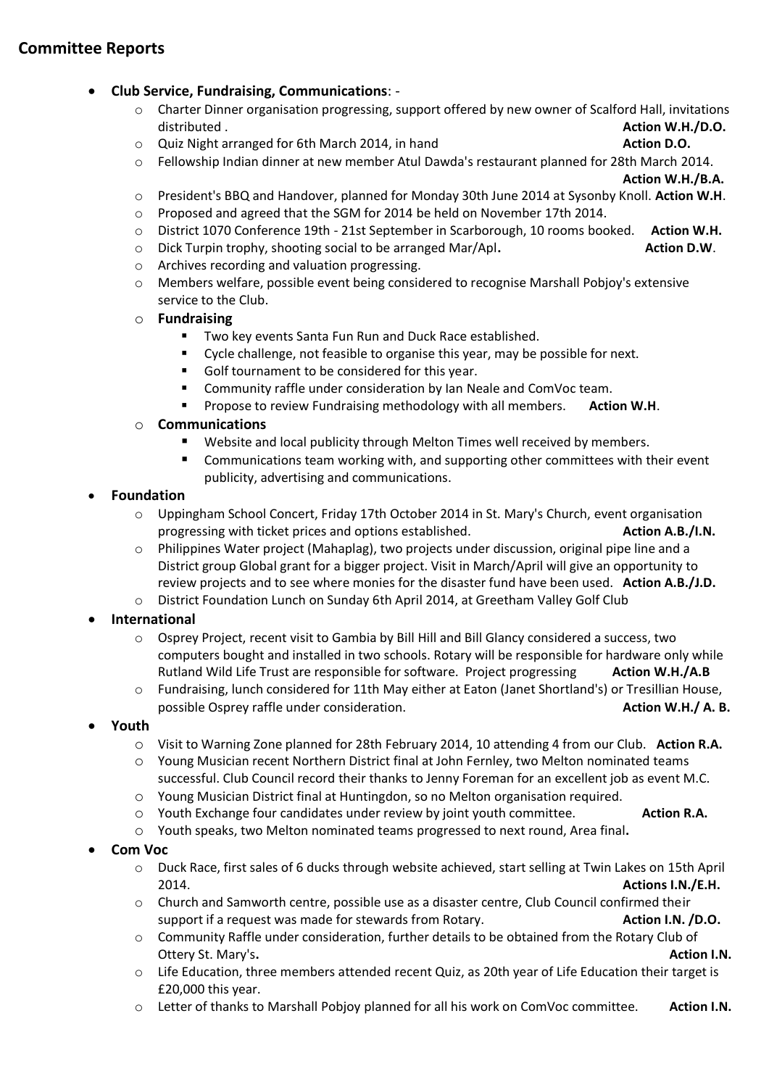# **Committee Reports**

#### **Club Service, Fundraising, Communications**: -

- o Charter Dinner organisation progressing, support offered by new owner of Scalford Hall, invitations distributed . **Action W.H./D.O.**
- o Quiz Night arranged for 6th March 2014, in hand **Action D.O.**
- o Fellowship Indian dinner at new member Atul Dawda's restaurant planned for 28th March 2014.

**Action W.H./B.A.**

- o President's BBQ and Handover, planned for Monday 30th June 2014 at Sysonby Knoll. **Action W.H**.
- o Proposed and agreed that the SGM for 2014 be held on November 17th 2014.
- o District 1070 Conference 19th 21st September in Scarborough, 10 rooms booked. **Action W.H.**
- o Dick Turpin trophy, shooting social to be arranged Mar/Apl**. Action D.W**.
- o Archives recording and valuation progressing.
- o Members welfare, possible event being considered to recognise Marshall Pobjoy's extensive service to the Club.
- o **Fundraising**
	- **Two key events Santa Fun Run and Duck Race established.**
	- Cycle challenge, not feasible to organise this year, may be possible for next.
	- Golf tournament to be considered for this year.
	- **E** Community raffle under consideration by Ian Neale and ComVoc team.
	- **Propose to review Fundraising methodology with all members.** Action W.H.

#### o **Communications**

- Website and local publicity through Melton Times well received by members.
- Communications team working with, and supporting other committees with their event publicity, advertising and communications.

#### **Foundation**

- o Uppingham School Concert, Friday 17th October 2014 in St. Mary's Church, event organisation progressing with ticket prices and options established. **Action A.B./I.N. Action A.B./I.N.**
- o Philippines Water project (Mahaplag), two projects under discussion, original pipe line and a District group Global grant for a bigger project. Visit in March/April will give an opportunity to review projects and to see where monies for the disaster fund have been used. **Action A.B./J.D.**
- o District Foundation Lunch on Sunday 6th April 2014, at Greetham Valley Golf Club

# **International**

- o Osprey Project, recent visit to Gambia by Bill Hill and Bill Glancy considered a success, two computers bought and installed in two schools. Rotary will be responsible for hardware only while Rutland Wild Life Trust are responsible for software. Project progressing **Action W.H./A.B**
- o Fundraising, lunch considered for 11th May either at Eaton (Janet Shortland's) or Tresillian House, possible Osprey raffle under consideration. **Action W.H./ A. B. Action W.H./ A. B.**

# **Youth**

- o Visit to Warning Zone planned for 28th February 2014, 10 attending 4 from our Club. **Action R.A.**
- o Young Musician recent Northern District final at John Fernley, two Melton nominated teams successful. Club Council record their thanks to Jenny Foreman for an excellent job as event M.C.
- o Young Musician District final at Huntingdon, so no Melton organisation required.
- o Youth Exchange four candidates under review by joint youth committee. **Action R.A.**
- o Youth speaks, two Melton nominated teams progressed to next round, Area final**.**

# **Com Voc**

- o Duck Race, first sales of 6 ducks through website achieved, start selling at Twin Lakes on 15th April 2014. **Actions I.N./E.H.**
- o Church and Samworth centre, possible use as a disaster centre, Club Council confirmed their support if a request was made for stewards from Rotary. **Action I.N. /D.O.** Action I.N. /D.O.
- o Community Raffle under consideration, further details to be obtained from the Rotary Club of **Ottery St. Mary's. Contract Contract Contract Contract Contract Contract Contract Contract Contract Contract Contract Contract Contract Contract Contract Contract Contract Contract Contract Contract Contract Contract Co**
- o Life Education, three members attended recent Quiz, as 20th year of Life Education their target is £20,000 this year.
- o Letter of thanks to Marshall Pobjoy planned for all his work on ComVoc committee. **Action I.N.**